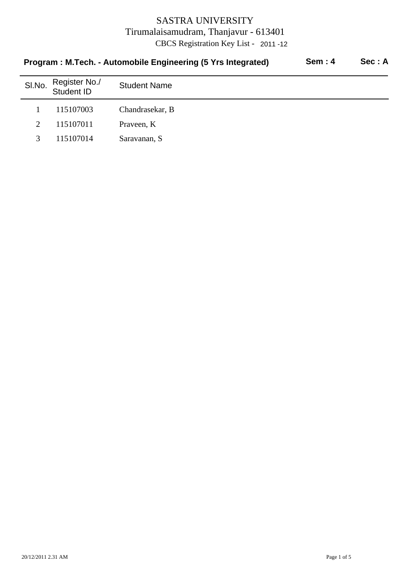| Program: M.Tech. - Automobile Engineering (5 Yrs Integrated) |                             |                     | <b>Sem: 4</b> | Sec: A |
|--------------------------------------------------------------|-----------------------------|---------------------|---------------|--------|
| SI.No.                                                       | Register No./<br>Student ID | <b>Student Name</b> |               |        |
|                                                              | 115107003                   | Chandrasekar, B     |               |        |
| 2                                                            | 115107011                   | Praveen, K          |               |        |
| 3                                                            | 115107014                   | Saravanan, S        |               |        |
|                                                              |                             |                     |               |        |

### 20/12/2011 2.31 AM Page 1 of 5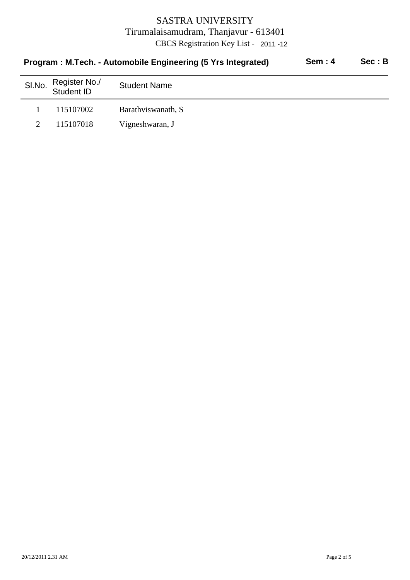|        | Program: M.Tech. - Automobile Engineering (5 Yrs Integrated) | <b>Sem: 4</b>        | Sec : B |  |
|--------|--------------------------------------------------------------|----------------------|---------|--|
| SI.No. | Register No./<br>Student ID                                  | <b>Student Name</b>  |         |  |
|        | 115107002                                                    | Barathy is wanath, S |         |  |
|        | 115107018                                                    | Vigneshwaran, J      |         |  |
|        |                                                              |                      |         |  |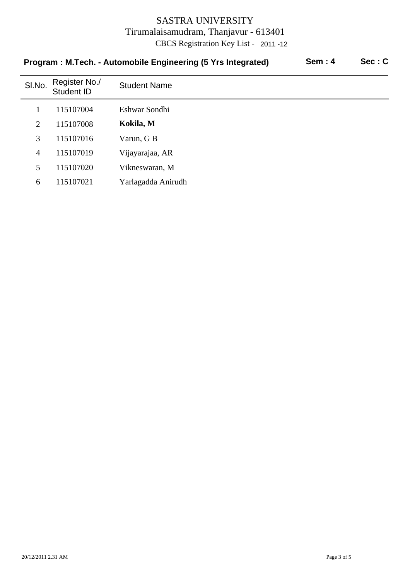| Program: M.Tech. - Automobile Engineering (5 Yrs Integrated) |                             |                     | <b>Sem: 4</b> | Sec: C |
|--------------------------------------------------------------|-----------------------------|---------------------|---------------|--------|
| SI.No.                                                       | Register No./<br>Student ID | <b>Student Name</b> |               |        |
|                                                              | 115107004                   | Eshwar Sondhi       |               |        |
| 2                                                            | 115107008                   | Kokila, M           |               |        |
| 3                                                            | 115107016                   | Varun, G B          |               |        |
| $\overline{4}$                                               | 115107019                   | Vijayarajaa, AR     |               |        |
| 5                                                            | 115107020                   | Vikneswaran, M      |               |        |
| 6                                                            | 115107021                   | Yarlagadda Anirudh  |               |        |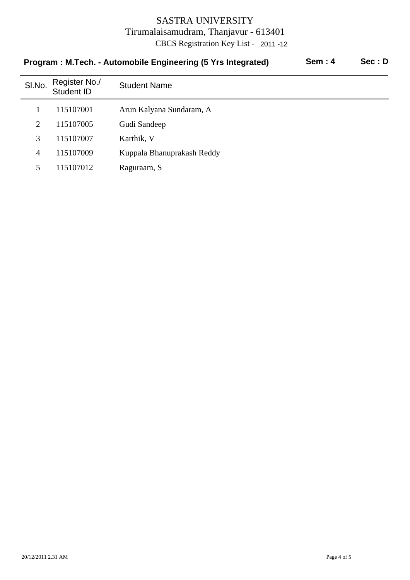|                | Program: M.Tech. - Automobile Engineering (5 Yrs Integrated) | <b>Sem: 4</b>              | Sec: D |  |
|----------------|--------------------------------------------------------------|----------------------------|--------|--|
| SI.No.         | Register No./<br>Student ID                                  | <b>Student Name</b>        |        |  |
|                | 115107001                                                    | Arun Kalyana Sundaram, A   |        |  |
| 2              | 115107005                                                    | Gudi Sandeep               |        |  |
| 3              | 115107007                                                    | Karthik, V                 |        |  |
| $\overline{4}$ | 115107009                                                    | Kuppala Bhanuprakash Reddy |        |  |
| 5              | 115107012                                                    | Raguraam, S                |        |  |